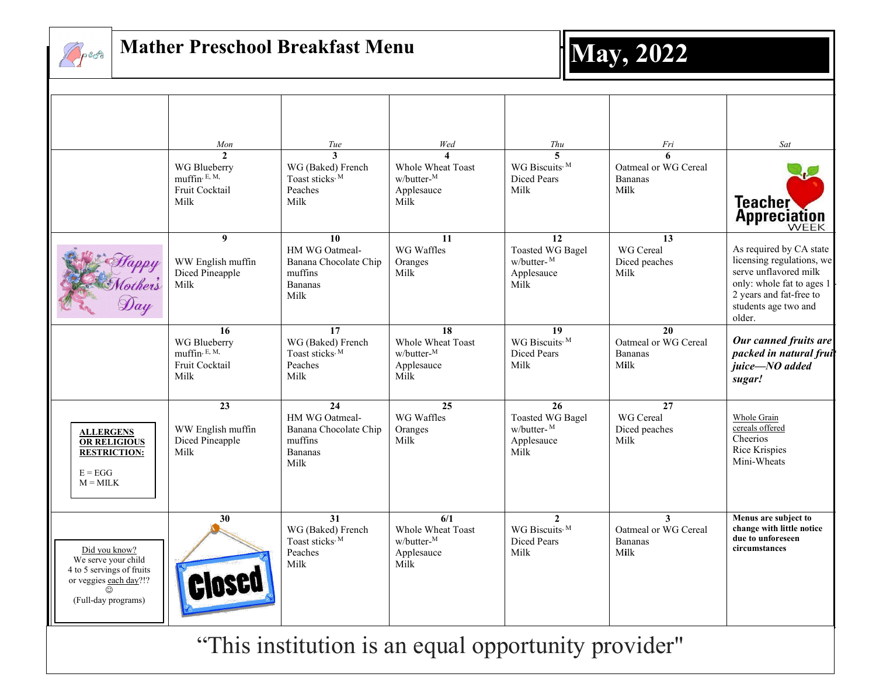

### **Mather Preschool Breakfast Menu**



|                                                                                                                    | Mon<br>$\mathfrak{D}$<br>WG Blueberry<br>muffin, E, M,<br>Fruit Cocktail<br>Milk | $\mathit{True}$<br>3<br>WG (Baked) French<br>Toast sticks, M<br>Peaches<br>Milk                 | Wed<br><b>Whole Wheat Toast</b><br>$\ensuremath{\text{w}}\xspace/\ensuremath{\text{butter}\xspace\xspace}^\ensuremath{\text{M}}$<br>Applesauce<br>Milk | Thu<br>$\overline{\mathbf{5}}$<br>WG Biscuits, M<br>Diced Pears<br>Milk        | Fri<br>6<br>Oatmeal or WG Cereal<br><b>Bananas</b><br>Milk        | Sat<br><b>Teacher</b><br><b>Appreciation</b>                                                                                                                            |
|--------------------------------------------------------------------------------------------------------------------|----------------------------------------------------------------------------------|-------------------------------------------------------------------------------------------------|--------------------------------------------------------------------------------------------------------------------------------------------------------|--------------------------------------------------------------------------------|-------------------------------------------------------------------|-------------------------------------------------------------------------------------------------------------------------------------------------------------------------|
| Gappy<br>(others<br>Day                                                                                            | 9<br>WW English muffin<br>Diced Pineapple<br>Milk                                | $\overline{10}$<br>HM WG Oatmeal-<br>Banana Chocolate Chip<br>muffins<br><b>Bananas</b><br>Milk | $\overline{11}$<br>WG Waffles<br>Oranges<br>Milk                                                                                                       | $\overline{12}$<br><b>Toasted WG Bagel</b><br>w/butter-M<br>Applesauce<br>Milk | $\overline{13}$<br>WG Cereal<br>Diced peaches<br>Milk             | As required by CA state<br>licensing regulations, we<br>serve unflavored milk<br>only: whole fat to ages 1<br>2 years and fat-free to<br>students age two and<br>older. |
|                                                                                                                    | $\overline{16}$<br>WG Blueberry<br>muffin, E, M,<br>Fruit Cocktail<br>Milk       | 17<br>WG (Baked) French<br>Toast sticks, M<br>Peaches<br>Milk                                   | 18<br>Whole Wheat Toast<br>$w/b$ utter- $^M$<br>Applesauce<br>Milk                                                                                     | 19<br>WG Biscuits, M<br>Diced Pears<br>Milk                                    | $\overline{20}$<br>Oatmeal or WG Cereal<br><b>Bananas</b><br>Milk | Our canned fruits are<br>packed in natural frui<br>juice-NO added<br>sugar!                                                                                             |
| <b>ALLERGENS</b><br><b>OR RELIGIOUS</b><br><b>RESTRICTION:</b><br>$E = EGG$<br>$M = MILK$                          | $\overline{23}$<br>WW English muffin<br>Diced Pineapple<br>Milk                  | $\overline{24}$<br>HM WG Oatmeal-<br>Banana Chocolate Chip<br>muffins<br><b>Bananas</b><br>Milk | $\overline{25}$<br>WG Waffles<br>Oranges<br>Milk                                                                                                       | 26<br><b>Toasted WG Bagel</b><br>$w/b$ utter- $^M$<br>Applesauce<br>Milk       | $\overline{27}$<br>WG Cereal<br>Diced peaches<br>Milk             | Whole Grain<br>cereals offered<br>Cheerios<br>Rice Krispies<br>Mini-Wheats                                                                                              |
| Did you know?<br>We serve your child<br>4 to 5 servings of fruits<br>or veggies each day?!?<br>(Full-day programs) | 30                                                                               | $\overline{31}$<br>WG (Baked) French<br>Toast sticks, M<br>Peaches<br>Milk                      | $\overline{6/1}$<br>Whole Wheat Toast<br>w/butter-M<br>Applesauce<br>Milk                                                                              | $\mathbf{2}$<br>WG Biscuits, M<br>Diced Pears<br>Milk                          | $\mathbf{3}$<br>Oatmeal or WG Cereal<br><b>Bananas</b><br>Milk    | Menus are subject to<br>change with little notice<br>due to unforeseen<br>circumstances                                                                                 |

**25 26** İ **27 28** Ì **29** "This institution is an equal opportunity provider"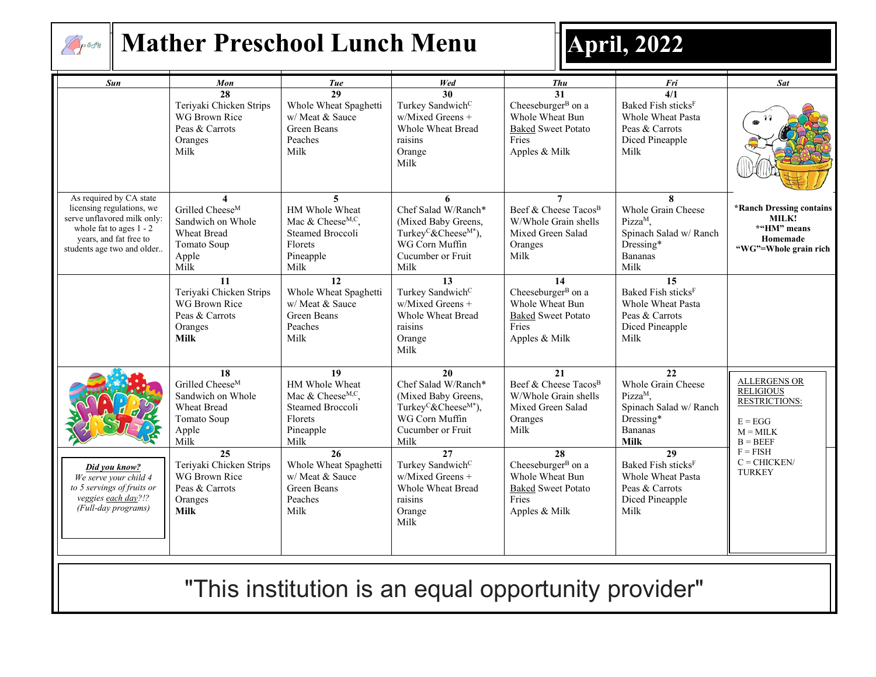

## **Mather Preschool Lunch Menu April, 2022**

| <b>Sun</b>                                                                                                                                                               | Mon                                                                                                                       | Tue                                                                                                                           | Wed                                                                                                                                                          | <b>Thu</b>                                                                                                                  | Fri                                                                                                                        | <b>Sat</b>                                                                                               |
|--------------------------------------------------------------------------------------------------------------------------------------------------------------------------|---------------------------------------------------------------------------------------------------------------------------|-------------------------------------------------------------------------------------------------------------------------------|--------------------------------------------------------------------------------------------------------------------------------------------------------------|-----------------------------------------------------------------------------------------------------------------------------|----------------------------------------------------------------------------------------------------------------------------|----------------------------------------------------------------------------------------------------------|
|                                                                                                                                                                          | 28<br>Teriyaki Chicken Strips<br>WG Brown Rice<br>Peas & Carrots<br>Oranges<br>Milk                                       | 29<br>Whole Wheat Spaghetti<br>w/ Meat & Sauce<br>Green Beans<br>Peaches<br>Milk                                              | 30<br>Turkey Sandwich <sup>C</sup><br>$w/Mixed$ Greens +<br>Whole Wheat Bread<br>raisins<br>Orange<br>Milk                                                   | 31<br>Cheeseburger <sup>B</sup> on a<br>Whole Wheat Bun<br><b>Baked Sweet Potato</b><br>Fries<br>Apples & Milk              | 4/1<br>Baked Fish sticks <sup>F</sup><br>Whole Wheat Pasta<br>Peas & Carrots<br>Diced Pineapple<br>Milk                    |                                                                                                          |
| As required by CA state<br>licensing regulations, we<br>serve unflavored milk only:<br>whole fat to ages $1 - 2$<br>years, and fat free to<br>students age two and older | Grilled Cheese <sup>M</sup><br>Sandwich on Whole<br><b>Wheat Bread</b><br>Tomato Soup<br>Apple<br>Milk                    | HM Whole Wheat<br>Mac & Cheese <sup>M,C</sup> ,<br><b>Steamed Broccoli</b><br>Florets<br>Pineapple<br>Milk                    | Chef Salad W/Ranch*<br>(Mixed Baby Greens,<br>Turkey <sup>C</sup> &Cheese <sup>M*</sup> ),<br>WG Corn Muffin<br>Cucumber or Fruit<br>Milk                    | Beef & Cheese Tacos <sup>B</sup><br>W/Whole Grain shells<br>Mixed Green Salad<br>Oranges<br>Milk                            | Whole Grain Cheese<br>$Pizza^M$ ,<br>Spinach Salad w/ Ranch<br>Dressing*<br><b>Bananas</b><br>Milk                         | *Ranch Dressing contains<br>MILK!<br>*"HM" means<br>Homemade<br>"WG"=Whole grain rich                    |
|                                                                                                                                                                          | $\overline{11}$<br>Teriyaki Chicken Strips<br>WG Brown Rice<br>Peas & Carrots<br>Oranges<br><b>Milk</b>                   | $\overline{12}$<br>Whole Wheat Spaghetti<br>w/ Meat & Sauce<br>Green Beans<br>Peaches<br>Milk                                 | 13<br>Turkey Sandwich <sup>C</sup><br>w/Mixed Greens +<br><b>Whole Wheat Bread</b><br>raisins<br>Orange<br>Milk                                              | 14<br>Cheeseburger <sup>B</sup> on a<br>Whole Wheat Bun<br><b>Baked Sweet Potato</b><br>Fries<br>Apples & Milk              | 15<br>Baked Fish sticks <sup>F</sup><br><b>Whole Wheat Pasta</b><br>Peas & Carrots<br>Diced Pineapple<br>Milk              |                                                                                                          |
|                                                                                                                                                                          | $\overline{18}$<br>Grilled Cheese <sup>M</sup><br>Sandwich on Whole<br><b>Wheat Bread</b><br>Tomato Soup<br>Apple<br>Milk | $\overline{19}$<br>HM Whole Wheat<br>Mac & Cheese <sup>M,C</sup> ,<br><b>Steamed Broccoli</b><br>Florets<br>Pineapple<br>Milk | $\overline{20}$<br>Chef Salad W/Ranch*<br>(Mixed Baby Greens,<br>Turkey <sup>C</sup> &Cheese <sup>M*</sup> ),<br>WG Corn Muffin<br>Cucumber or Fruit<br>Milk | $\overline{21}$<br>Beef & Cheese $Tacos^B$<br>W/Whole Grain shells<br>Mixed Green Salad<br>Oranges<br>Milk                  | 22<br>Whole Grain Cheese<br>Pizza <sup>M</sup> ,<br>Spinach Salad w/ Ranch<br>Dressing*<br><b>Bananas</b><br><b>Milk</b>   | <b>ALLERGENS OR</b><br><b>RELIGIOUS</b><br><b>RESTRICTIONS:</b><br>$E = EGG$<br>$M = MILK$<br>$B = BEEF$ |
| Did you know?<br>We serve your child 4<br>to 5 servings of fruits or<br>veggies each day?!?<br>(Full-day programs)                                                       | $\overline{25}$<br>Teriyaki Chicken Strips<br><b>WG Brown Rice</b><br>Peas & Carrots<br>Oranges<br><b>Milk</b>            | $\overline{26}$<br>Whole Wheat Spaghetti<br>w/ Meat & Sauce<br>Green Beans<br>Peaches<br>Milk                                 | $\overline{27}$<br>Turkey Sandwich <sup>C</sup><br>w/Mixed Greens +<br>Whole Wheat Bread<br>raisins<br>Orange<br>Milk                                        | $\overline{28}$<br>Cheeseburger <sup>B</sup> on a<br>Whole Wheat Bun<br><b>Baked Sweet Potato</b><br>Fries<br>Apples & Milk | $\overline{29}$<br>Baked Fish sticks <sup>F</sup><br><b>Whole Wheat Pasta</b><br>Peas & Carrots<br>Diced Pineapple<br>Milk | $F = FISH$<br>$C = CHICKEN/$<br><b>TURKEY</b>                                                            |

"This institution is an equal opportunity provider"